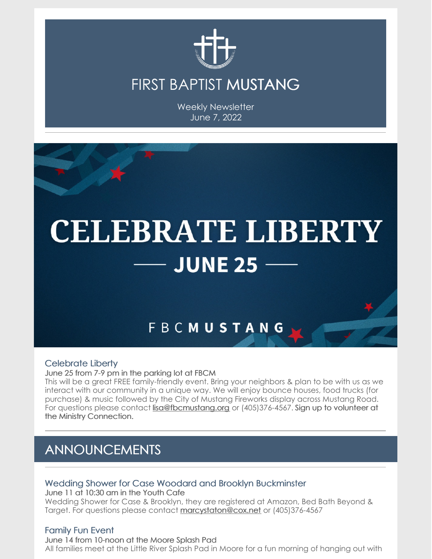

## FIRST BAPTIST MUSTANG

Weekly Newsletter June 7, 2022



#### Celebrate Liberty

June 25 from 7-9 pm in the parking lot at FBCM

This will be a great FREE family-friendly event. Bring your neighbors & plan to be with us as we interact with our community in a unique way. We will enjoy bounce houses, food trucks (for purchase) & music followed by the City of Mustang Fireworks display across Mustang Road. For questions please contact [lisa@fbcmustang.org](mailto:lisa@fbcmustang.org) or (405)376-4567. Sign up to volunteer at the Ministry Connection.

## ANNOUNCEMENTS

#### Wedding Shower for Case Woodard and Brooklyn Buckminster

June 11 at 10:30 am in the Youth Cafe Wedding Shower for Case & Brooklyn, they are registered at Amazon, Bed Bath Beyond & Target. For questions please contact [marcystaton@cox.net](mailto:marcystaton@cox.net) or (405)376-4567

#### Family Fun Event

June 14 from 10-noon at the Moore Splash Pad All families meet at the Little River Splash Pad in Moore for a fun morning of hanging out with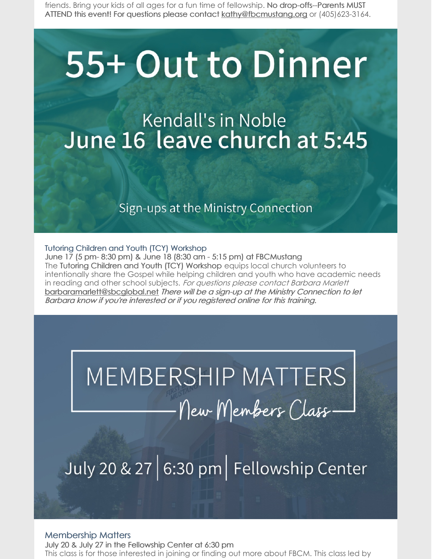friends. Bring your kids of all ages for a fun time of fellowship. No drop-offs--Parents MUST ATTEND this event! For questions please contact [kathy@fbcmustang.org](mailto:kathy@fbcmustang.org) or (405)623-3164.

# 55+ Out to Dinner

# **Kendall's in Noble** June 16 leave church at 5:45

### Sign-ups at the Ministry Connection

Tutoring Children and Youth (TCY) Workshop June 17 (5 pm- 8:30 pm) & June 18 (8:30 am - 5:15 pm) at FBCMustang The Tutoring Children and Youth (TCY) Workshop equips local church volunteers to intentionally share the Gospel while helping children and youth who have academic needs in reading and other school subjects. For questions please contact Barbara Marlett [barbaramarlett@sbcglobal.net](mailto:barbaramarlett@sbcglobal.net) There will be <sup>a</sup> sign-up at the Ministry Connection to let Barbara know if you're interested or if you registered online for this training.

# MEMBERSHIP MATTERS New Members Class.

July 20 & 27 6:30 pm Fellowship Center

#### Membership Matters

July 20 & July 27 in the Fellowship Center at 6:30 pm This class is for those interested in joining or finding out more about FBCM. This class led by